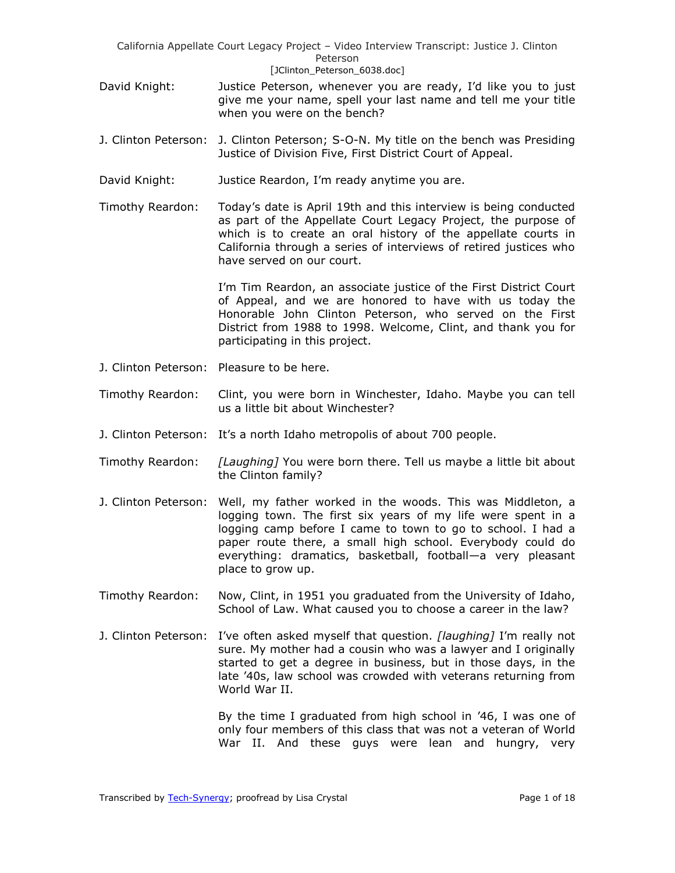- David Knight: Justice Peterson, whenever you are ready, I'd like you to just give me your name, spell your last name and tell me your title when you were on the bench?
- J. Clinton Peterson: J. Clinton Peterson; S-O-N. My title on the bench was Presiding Justice of Division Five, First District Court of Appeal.
- David Knight: Justice Reardon, I'm ready anytime you are.
- Timothy Reardon: Today's date is April 19th and this interview is being conducted as part of the Appellate Court Legacy Project, the purpose of which is to create an oral history of the appellate courts in California through a series of interviews of retired justices who have served on our court.

I'm Tim Reardon, an associate justice of the First District Court of Appeal, and we are honored to have with us today the Honorable John Clinton Peterson, who served on the First District from 1988 to 1998. Welcome, Clint, and thank you for participating in this project.

- J. Clinton Peterson: Pleasure to be here.
- Timothy Reardon: Clint, you were born in Winchester, Idaho. Maybe you can tell us a little bit about Winchester?
- J. Clinton Peterson: It's a north Idaho metropolis of about 700 people.
- Timothy Reardon: *[Laughing]* You were born there. Tell us maybe a little bit about the Clinton family?
- J. Clinton Peterson: Well, my father worked in the woods. This was Middleton, a logging town. The first six years of my life were spent in a logging camp before I came to town to go to school. I had a paper route there, a small high school. Everybody could do everything: dramatics, basketball, football—a very pleasant place to grow up.
- Timothy Reardon: Now, Clint, in 1951 you graduated from the University of Idaho, School of Law. What caused you to choose a career in the law?
- J. Clinton Peterson: I've often asked myself that question. *[laughing]* I'm really not sure. My mother had a cousin who was a lawyer and I originally started to get a degree in business, but in those days, in the late '40s, law school was crowded with veterans returning from World War II.

By the time I graduated from high school in '46, I was one of only four members of this class that was not a veteran of World War II. And these guys were lean and hungry, very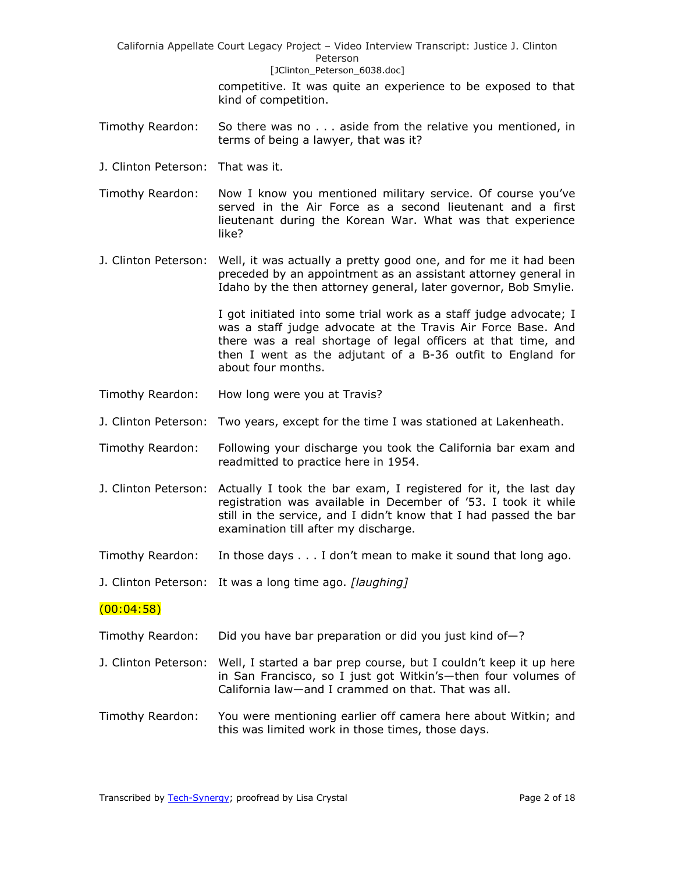> competitive. It was quite an experience to be exposed to that kind of competition.

- Timothy Reardon: So there was no . . . aside from the relative you mentioned, in terms of being a lawyer, that was it?
- J. Clinton Peterson: That was it.

Timothy Reardon: Now I know you mentioned military service. Of course you've served in the Air Force as a second lieutenant and a first lieutenant during the Korean War. What was that experience like?

J. Clinton Peterson: Well, it was actually a pretty good one, and for me it had been preceded by an appointment as an assistant attorney general in Idaho by the then attorney general, later governor, Bob Smylie.

> I got initiated into some trial work as a staff judge advocate; I was a staff judge advocate at the Travis Air Force Base. And there was a real shortage of legal officers at that time, and then I went as the adjutant of a B-36 outfit to England for about four months.

- Timothy Reardon: How long were you at Travis?
- J. Clinton Peterson: Two years, except for the time I was stationed at Lakenheath.
- Timothy Reardon: Following your discharge you took the California bar exam and readmitted to practice here in 1954.
- J. Clinton Peterson: Actually I took the bar exam, I registered for it, the last day registration was available in December of '53. I took it while still in the service, and I didn't know that I had passed the bar examination till after my discharge.
- Timothy Reardon: In those days . . . I don't mean to make it sound that long ago.

J. Clinton Peterson: It was a long time ago. *[laughing]*

## (00:04:58)

- Timothy Reardon: Did you have bar preparation or did you just kind of—?
- J. Clinton Peterson: Well, I started a bar prep course, but I couldn't keep it up here in San Francisco, so I just got Witkin's—then four volumes of California law—and I crammed on that. That was all.
- Timothy Reardon: You were mentioning earlier off camera here about Witkin; and this was limited work in those times, those days.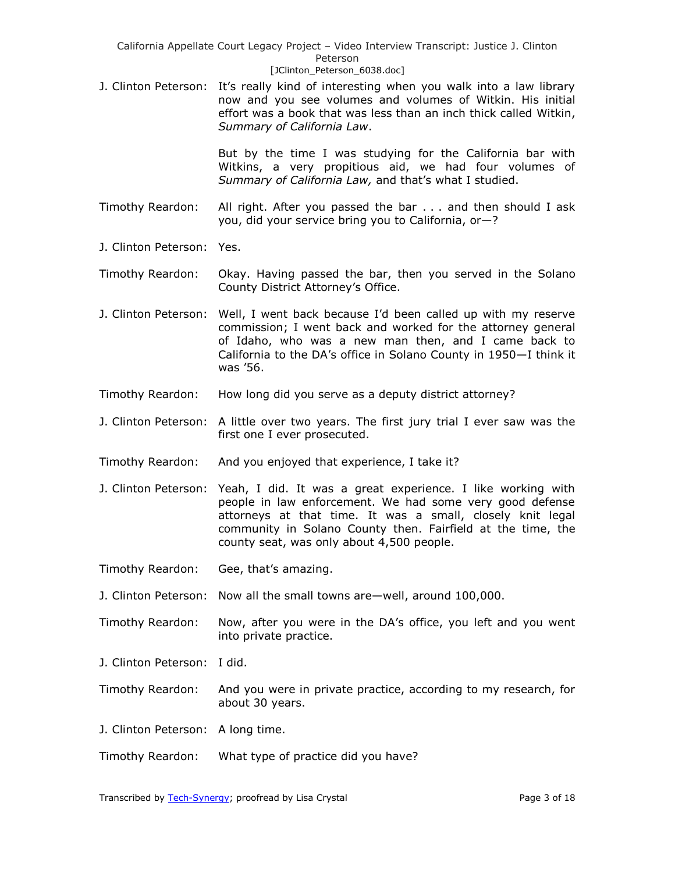J. Clinton Peterson: It's really kind of interesting when you walk into a law library now and you see volumes and volumes of Witkin. His initial effort was a book that was less than an inch thick called Witkin, *Summary of California Law*.

> But by the time I was studying for the California bar with Witkins, a very propitious aid, we had four volumes of *Summary of California Law,* and that's what I studied.

- Timothy Reardon: All right. After you passed the bar . . . and then should I ask you, did your service bring you to California, or—?
- J. Clinton Peterson: Yes.
- Timothy Reardon: Okay. Having passed the bar, then you served in the Solano County District Attorney's Office.
- J. Clinton Peterson: Well, I went back because I'd been called up with my reserve commission; I went back and worked for the attorney general of Idaho, who was a new man then, and I came back to California to the DA's office in Solano County in 1950—I think it was '56.
- Timothy Reardon: How long did you serve as a deputy district attorney?
- J. Clinton Peterson: A little over two years. The first jury trial I ever saw was the first one I ever prosecuted.
- Timothy Reardon: And you enjoyed that experience, I take it?
- J. Clinton Peterson: Yeah, I did. It was a great experience. I like working with people in law enforcement. We had some very good defense attorneys at that time. It was a small, closely knit legal community in Solano County then. Fairfield at the time, the county seat, was only about 4,500 people.
- Timothy Reardon: Gee, that's amazing.
- J. Clinton Peterson: Now all the small towns are—well, around 100,000.
- Timothy Reardon: Now, after you were in the DA's office, you left and you went into private practice.
- J. Clinton Peterson: I did.
- Timothy Reardon: And you were in private practice, according to my research, for about 30 years.
- J. Clinton Peterson: A long time.
- Timothy Reardon: What type of practice did you have?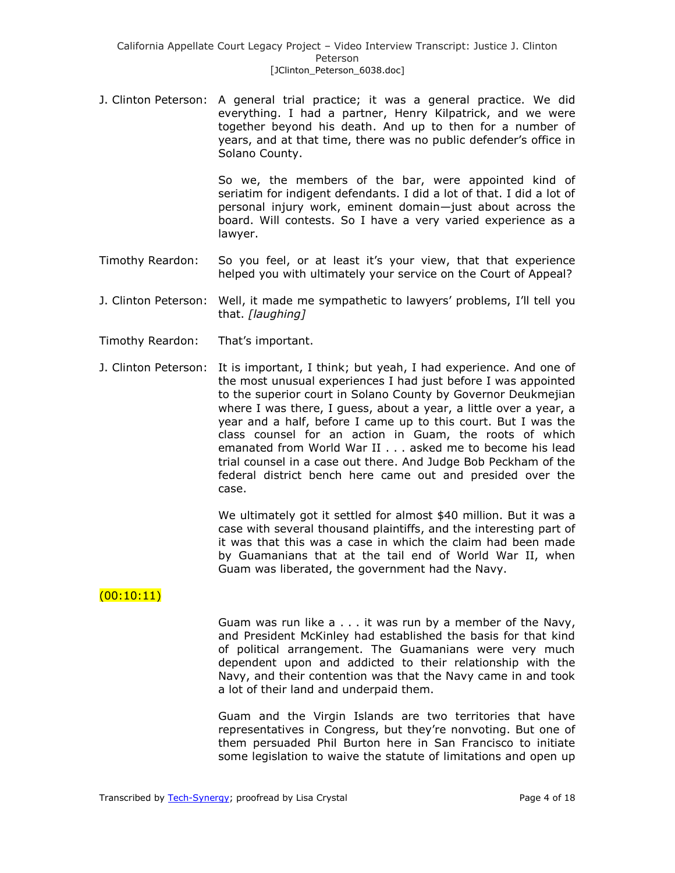J. Clinton Peterson: A general trial practice; it was a general practice. We did everything. I had a partner, Henry Kilpatrick, and we were together beyond his death. And up to then for a number of years, and at that time, there was no public defender's office in Solano County.

> So we, the members of the bar, were appointed kind of seriatim for indigent defendants. I did a lot of that. I did a lot of personal injury work, eminent domain—just about across the board. Will contests. So I have a very varied experience as a lawyer.

- Timothy Reardon: So you feel, or at least it's your view, that that experience helped you with ultimately your service on the Court of Appeal?
- J. Clinton Peterson: Well, it made me sympathetic to lawyers' problems, I'll tell you that. *[laughing]*
- Timothy Reardon: That's important.
- J. Clinton Peterson: It is important, I think; but yeah, I had experience. And one of the most unusual experiences I had just before I was appointed to the superior court in Solano County by Governor Deukmejian where I was there, I guess, about a year, a little over a year, a year and a half, before I came up to this court. But I was the class counsel for an action in Guam, the roots of which emanated from World War II . . . asked me to become his lead trial counsel in a case out there. And Judge Bob Peckham of the federal district bench here came out and presided over the case.

We ultimately got it settled for almost \$40 million. But it was a case with several thousand plaintiffs, and the interesting part of it was that this was a case in which the claim had been made by Guamanians that at the tail end of World War II, when Guam was liberated, the government had the Navy.

## $(00:10:11)$

Guam was run like a . . . it was run by a member of the Navy, and President McKinley had established the basis for that kind of political arrangement. The Guamanians were very much dependent upon and addicted to their relationship with the Navy, and their contention was that the Navy came in and took a lot of their land and underpaid them.

Guam and the Virgin Islands are two territories that have representatives in Congress, but they're nonvoting. But one of them persuaded Phil Burton here in San Francisco to initiate some legislation to waive the statute of limitations and open up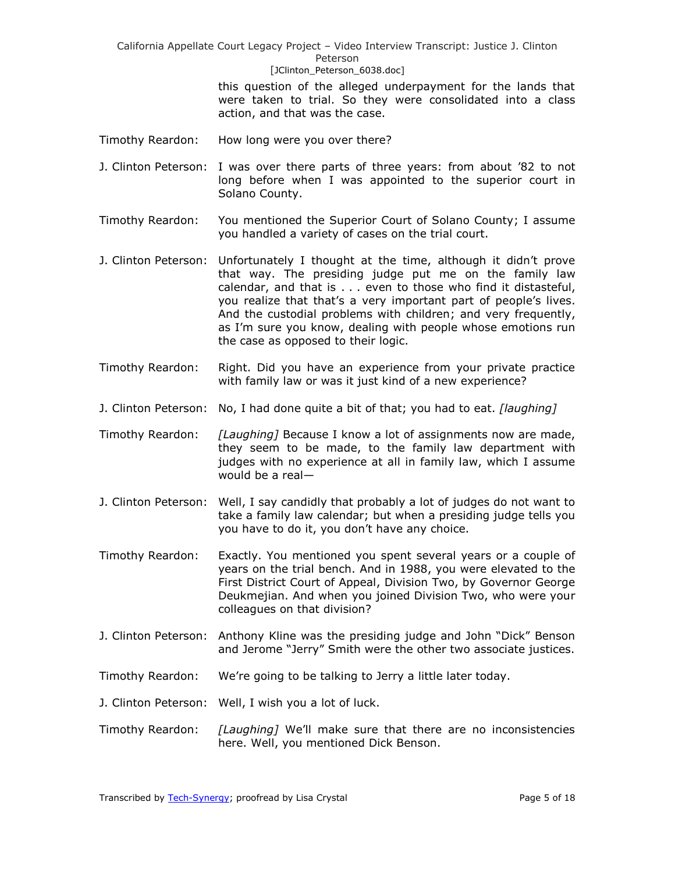> this question of the alleged underpayment for the lands that were taken to trial. So they were consolidated into a class action, and that was the case.

- Timothy Reardon: How long were you over there?
- J. Clinton Peterson: I was over there parts of three years: from about '82 to not long before when I was appointed to the superior court in Solano County.
- Timothy Reardon: You mentioned the Superior Court of Solano County; I assume you handled a variety of cases on the trial court.
- J. Clinton Peterson: Unfortunately I thought at the time, although it didn't prove that way. The presiding judge put me on the family law calendar, and that is . . . even to those who find it distasteful, you realize that that's a very important part of people's lives. And the custodial problems with children; and very frequently, as I'm sure you know, dealing with people whose emotions run the case as opposed to their logic.
- Timothy Reardon: Right. Did you have an experience from your private practice with family law or was it just kind of a new experience?
- J. Clinton Peterson: No, I had done quite a bit of that; you had to eat. *[laughing]*
- Timothy Reardon: *[Laughing]* Because I know a lot of assignments now are made, they seem to be made, to the family law department with judges with no experience at all in family law, which I assume would be a real—
- J. Clinton Peterson: Well, I say candidly that probably a lot of judges do not want to take a family law calendar; but when a presiding judge tells you you have to do it, you don't have any choice.
- Timothy Reardon: Exactly. You mentioned you spent several years or a couple of years on the trial bench. And in 1988, you were elevated to the First District Court of Appeal, Division Two, by Governor George Deukmejian. And when you joined Division Two, who were your colleagues on that division?
- J. Clinton Peterson: Anthony Kline was the presiding judge and John "Dick" Benson and Jerome "Jerry" Smith were the other two associate justices.
- Timothy Reardon: We're going to be talking to Jerry a little later today.
- J. Clinton Peterson: Well, I wish you a lot of luck.
- Timothy Reardon: *[Laughing]* We'll make sure that there are no inconsistencies here. Well, you mentioned Dick Benson.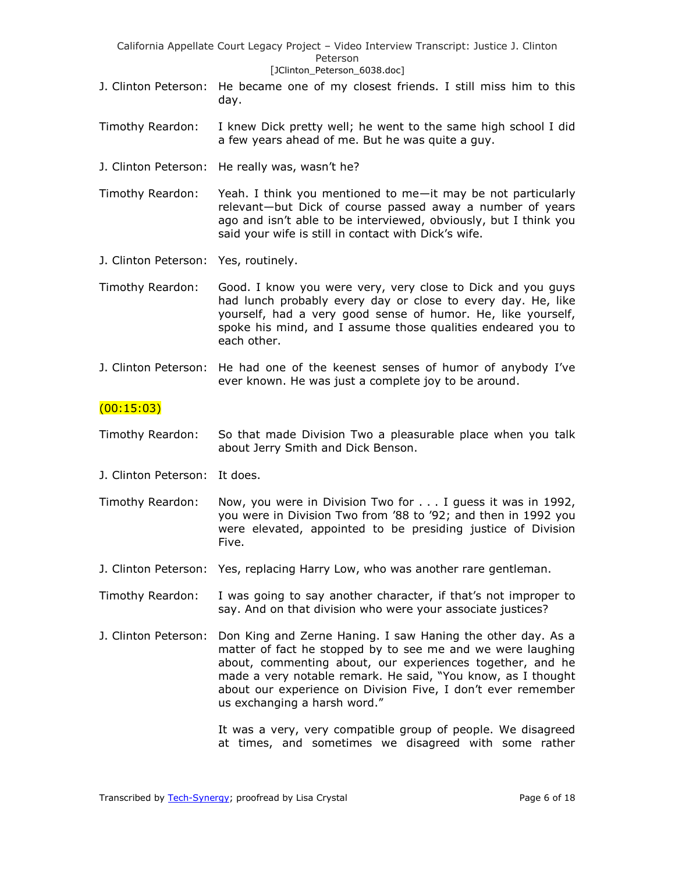- J. Clinton Peterson: He became one of my closest friends. I still miss him to this day.
- Timothy Reardon: I knew Dick pretty well; he went to the same high school I did a few years ahead of me. But he was quite a guy.
- J. Clinton Peterson: He really was, wasn't he?

Timothy Reardon: Yeah. I think you mentioned to me—it may be not particularly relevant—but Dick of course passed away a number of years ago and isn't able to be interviewed, obviously, but I think you said your wife is still in contact with Dick's wife.

J. Clinton Peterson: Yes, routinely.

Timothy Reardon: Good. I know you were very, very close to Dick and you guys had lunch probably every day or close to every day. He, like yourself, had a very good sense of humor. He, like yourself, spoke his mind, and I assume those qualities endeared you to each other.

J. Clinton Peterson: He had one of the keenest senses of humor of anybody I've ever known. He was just a complete joy to be around.

### $(00:15:03)$

- Timothy Reardon: So that made Division Two a pleasurable place when you talk about Jerry Smith and Dick Benson.
- J. Clinton Peterson: It does.

Timothy Reardon: Now, you were in Division Two for . . . I guess it was in 1992, you were in Division Two from '88 to '92; and then in 1992 you were elevated, appointed to be presiding justice of Division Five.

J. Clinton Peterson: Yes, replacing Harry Low, who was another rare gentleman.

Timothy Reardon: I was going to say another character, if that's not improper to say. And on that division who were your associate justices?

J. Clinton Peterson: Don King and Zerne Haning. I saw Haning the other day. As a matter of fact he stopped by to see me and we were laughing about, commenting about, our experiences together, and he made a very notable remark. He said, "You know, as I thought about our experience on Division Five, I don't ever remember us exchanging a harsh word."

> It was a very, very compatible group of people. We disagreed at times, and sometimes we disagreed with some rather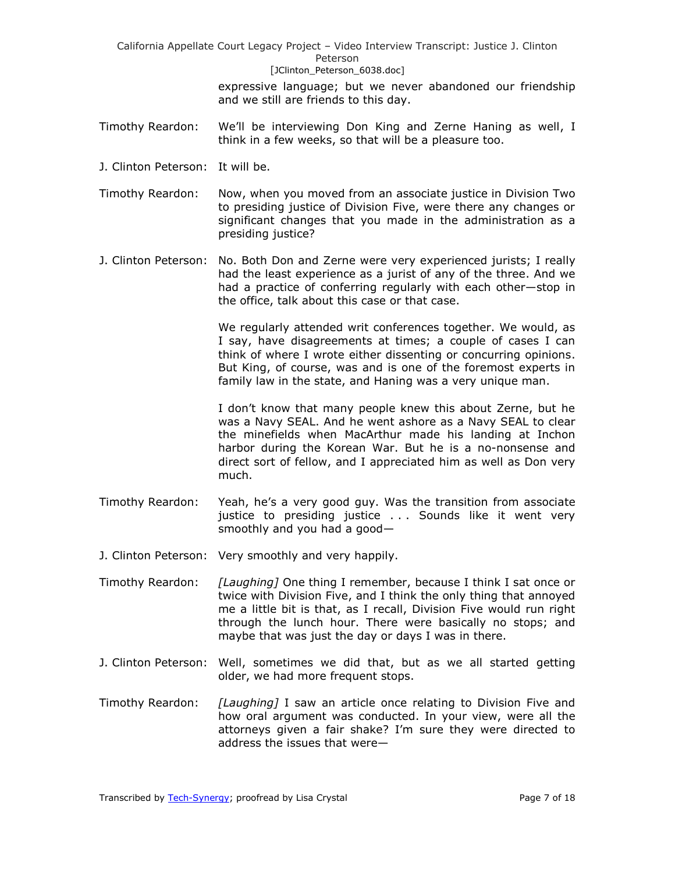> expressive language; but we never abandoned our friendship and we still are friends to this day.

- Timothy Reardon: We'll be interviewing Don King and Zerne Haning as well, I think in a few weeks, so that will be a pleasure too.
- J. Clinton Peterson: It will be.
- Timothy Reardon: Now, when you moved from an associate justice in Division Two to presiding justice of Division Five, were there any changes or significant changes that you made in the administration as a presiding justice?
- J. Clinton Peterson: No. Both Don and Zerne were very experienced jurists; I really had the least experience as a jurist of any of the three. And we had a practice of conferring regularly with each other—stop in the office, talk about this case or that case.

We regularly attended writ conferences together. We would, as I say, have disagreements at times; a couple of cases I can think of where I wrote either dissenting or concurring opinions. But King, of course, was and is one of the foremost experts in family law in the state, and Haning was a very unique man.

I don't know that many people knew this about Zerne, but he was a Navy SEAL. And he went ashore as a Navy SEAL to clear the minefields when MacArthur made his landing at Inchon harbor during the Korean War. But he is a no-nonsense and direct sort of fellow, and I appreciated him as well as Don very much.

- Timothy Reardon: Yeah, he's a very good guy. Was the transition from associate justice to presiding justice . . . Sounds like it went very smoothly and you had a good—
- J. Clinton Peterson: Very smoothly and very happily.
- Timothy Reardon: *[Laughing]* One thing I remember, because I think I sat once or twice with Division Five, and I think the only thing that annoyed me a little bit is that, as I recall, Division Five would run right through the lunch hour. There were basically no stops; and maybe that was just the day or days I was in there.
- J. Clinton Peterson: Well, sometimes we did that, but as we all started getting older, we had more frequent stops.
- Timothy Reardon: *[Laughing]* I saw an article once relating to Division Five and how oral argument was conducted. In your view, were all the attorneys given a fair shake? I'm sure they were directed to address the issues that were—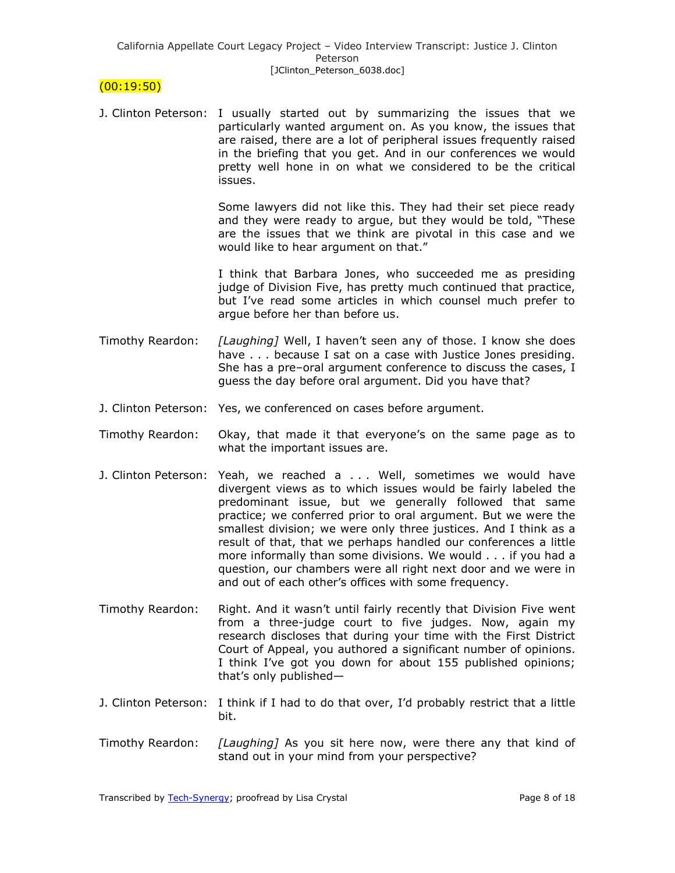## $(00:19:50)$

J. Clinton Peterson: I usually started out by summarizing the issues that we particularly wanted argument on. As you know, the issues that are raised, there are a lot of peripheral issues frequently raised in the briefing that you get. And in our conferences we would pretty well hone in on what we considered to be the critical issues.

> Some lawyers did not like this. They had their set piece ready and they were ready to argue, but they would be told, "These are the issues that we think are pivotal in this case and we would like to hear argument on that."

> I think that Barbara Jones, who succeeded me as presiding judge of Division Five, has pretty much continued that practice, but I've read some articles in which counsel much prefer to argue before her than before us.

- Timothy Reardon: *[Laughing]* Well, I haven't seen any of those. I know she does have . . . because I sat on a case with Justice Jones presiding. She has a pre–oral argument conference to discuss the cases, I guess the day before oral argument. Did you have that?
- J. Clinton Peterson: Yes, we conferenced on cases before argument.
- Timothy Reardon: Okay, that made it that everyone's on the same page as to what the important issues are.
- J. Clinton Peterson: Yeah, we reached a . . . Well, sometimes we would have divergent views as to which issues would be fairly labeled the predominant issue, but we generally followed that same practice; we conferred prior to oral argument. But we were the smallest division; we were only three justices. And I think as a result of that, that we perhaps handled our conferences a little more informally than some divisions. We would . . . if you had a question, our chambers were all right next door and we were in and out of each other's offices with some frequency.
- Timothy Reardon: Right. And it wasn't until fairly recently that Division Five went from a three-judge court to five judges. Now, again my research discloses that during your time with the First District Court of Appeal, you authored a significant number of opinions. I think I've got you down for about 155 published opinions; that's only published—
- J. Clinton Peterson: I think if I had to do that over, I'd probably restrict that a little bit.
- Timothy Reardon: *[Laughing]* As you sit here now, were there any that kind of stand out in your mind from your perspective?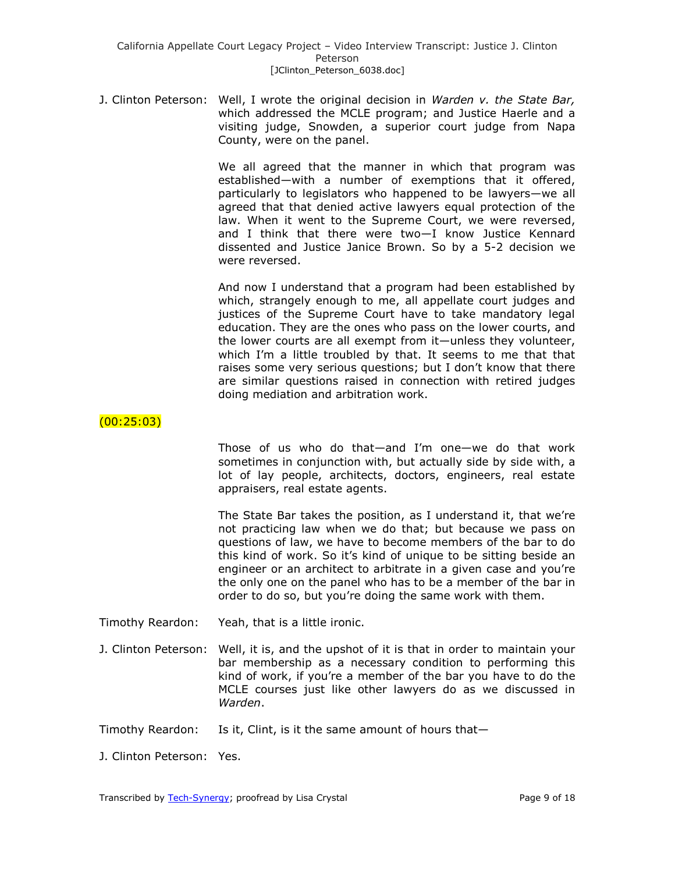J. Clinton Peterson: Well, I wrote the original decision in *Warden v. the State Bar,* which addressed the MCLE program; and Justice Haerle and a visiting judge, Snowden, a superior court judge from Napa County, were on the panel.

> We all agreed that the manner in which that program was established—with a number of exemptions that it offered, particularly to legislators who happened to be lawyers—we all agreed that that denied active lawyers equal protection of the law. When it went to the Supreme Court, we were reversed, and I think that there were two—I know Justice Kennard dissented and Justice Janice Brown. So by a 5-2 decision we were reversed.

> And now I understand that a program had been established by which, strangely enough to me, all appellate court judges and justices of the Supreme Court have to take mandatory legal education. They are the ones who pass on the lower courts, and the lower courts are all exempt from it—unless they volunteer, which I'm a little troubled by that. It seems to me that that raises some very serious questions; but I don't know that there are similar questions raised in connection with retired judges doing mediation and arbitration work.

# (00:25:03)

Those of us who do that—and I'm one—we do that work sometimes in conjunction with, but actually side by side with, a lot of lay people, architects, doctors, engineers, real estate appraisers, real estate agents.

The State Bar takes the position, as I understand it, that we're not practicing law when we do that; but because we pass on questions of law, we have to become members of the bar to do this kind of work. So it's kind of unique to be sitting beside an engineer or an architect to arbitrate in a given case and you're the only one on the panel who has to be a member of the bar in order to do so, but you're doing the same work with them.

Timothy Reardon: Yeah, that is a little ironic.

- J. Clinton Peterson: Well, it is, and the upshot of it is that in order to maintain your bar membership as a necessary condition to performing this kind of work, if you're a member of the bar you have to do the MCLE courses just like other lawyers do as we discussed in *Warden*.
- Timothy Reardon: Is it, Clint, is it the same amount of hours that—
- J. Clinton Peterson: Yes.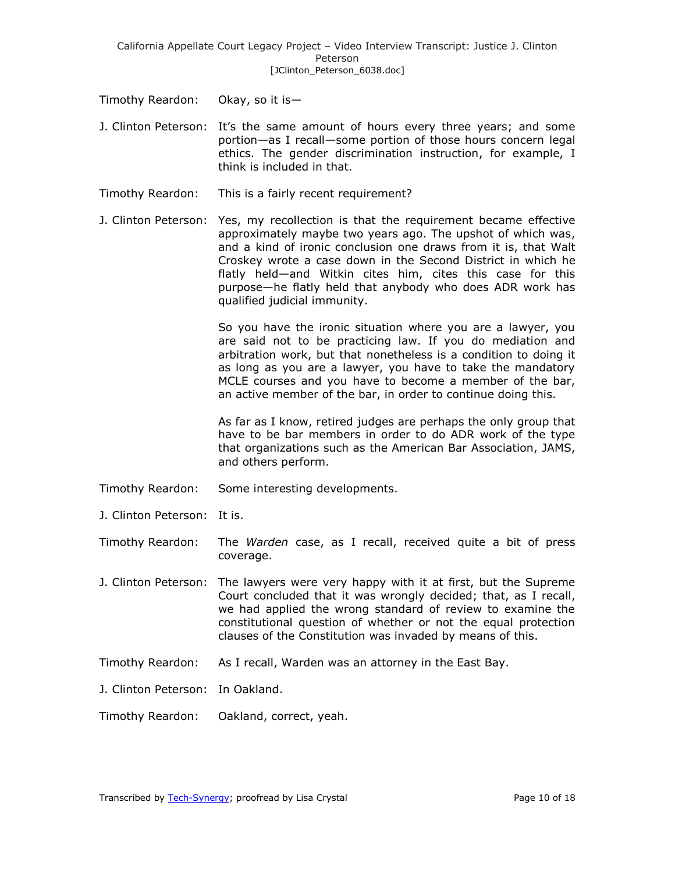Timothy Reardon: Okay, so it is—

- J. Clinton Peterson: It's the same amount of hours every three years; and some portion—as I recall—some portion of those hours concern legal ethics. The gender discrimination instruction, for example, I think is included in that.
- Timothy Reardon: This is a fairly recent requirement?
- J. Clinton Peterson: Yes, my recollection is that the requirement became effective approximately maybe two years ago. The upshot of which was, and a kind of ironic conclusion one draws from it is, that Walt Croskey wrote a case down in the Second District in which he flatly held—and Witkin cites him, cites this case for this purpose—he flatly held that anybody who does ADR work has qualified judicial immunity.

So you have the ironic situation where you are a lawyer, you are said not to be practicing law. If you do mediation and arbitration work, but that nonetheless is a condition to doing it as long as you are a lawyer, you have to take the mandatory MCLE courses and you have to become a member of the bar, an active member of the bar, in order to continue doing this.

As far as I know, retired judges are perhaps the only group that have to be bar members in order to do ADR work of the type that organizations such as the American Bar Association, JAMS, and others perform.

- Timothy Reardon: Some interesting developments.
- J. Clinton Peterson: It is.
- Timothy Reardon: The *Warden* case, as I recall, received quite a bit of press coverage.
- J. Clinton Peterson: The lawyers were very happy with it at first, but the Supreme Court concluded that it was wrongly decided; that, as I recall, we had applied the wrong standard of review to examine the constitutional question of whether or not the equal protection clauses of the Constitution was invaded by means of this.
- Timothy Reardon: As I recall, Warden was an attorney in the East Bay.
- J. Clinton Peterson: In Oakland.

Timothy Reardon: Oakland, correct, yeah.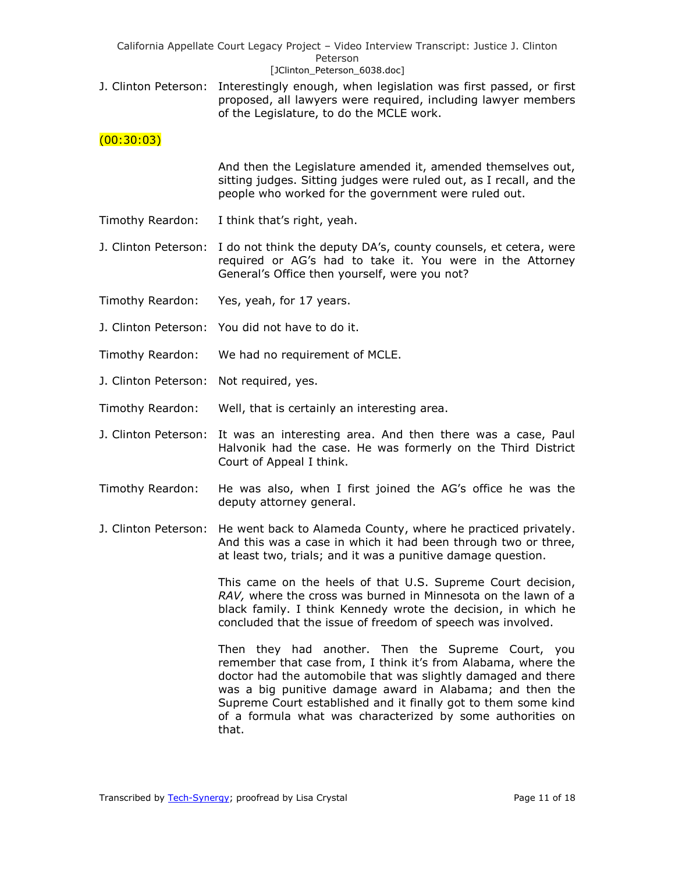| California Appellate Court Legacy Project - Video Interview Transcript: Justice J. Clinton |  |  |  |
|--------------------------------------------------------------------------------------------|--|--|--|
| Peterson                                                                                   |  |  |  |
| [JClinton Peterson 6038.doc]                                                               |  |  |  |

J. Clinton Peterson: Interestingly enough, when legislation was first passed, or first proposed, all lawyers were required, including lawyer members of the Legislature, to do the MCLE work.

## $(00:30:03)$

And then the Legislature amended it, amended themselves out, sitting judges. Sitting judges were ruled out, as I recall, and the people who worked for the government were ruled out.

- Timothy Reardon: I think that's right, yeah.
- J. Clinton Peterson: I do not think the deputy DA's, county counsels, et cetera, were required or AG's had to take it. You were in the Attorney General's Office then yourself, were you not?
- Timothy Reardon: Yes, yeah, for 17 years.
- J. Clinton Peterson: You did not have to do it.
- Timothy Reardon: We had no requirement of MCLE.
- J. Clinton Peterson: Not required, yes.
- Timothy Reardon: Well, that is certainly an interesting area.
- J. Clinton Peterson: It was an interesting area. And then there was a case, Paul Halvonik had the case. He was formerly on the Third District Court of Appeal I think.
- Timothy Reardon: He was also, when I first joined the AG's office he was the deputy attorney general.
- J. Clinton Peterson: He went back to Alameda County, where he practiced privately. And this was a case in which it had been through two or three, at least two, trials; and it was a punitive damage question.

This came on the heels of that U.S. Supreme Court decision, *RAV,* where the cross was burned in Minnesota on the lawn of a black family. I think Kennedy wrote the decision, in which he concluded that the issue of freedom of speech was involved.

Then they had another. Then the Supreme Court, you remember that case from, I think it's from Alabama, where the doctor had the automobile that was slightly damaged and there was a big punitive damage award in Alabama; and then the Supreme Court established and it finally got to them some kind of a formula what was characterized by some authorities on that.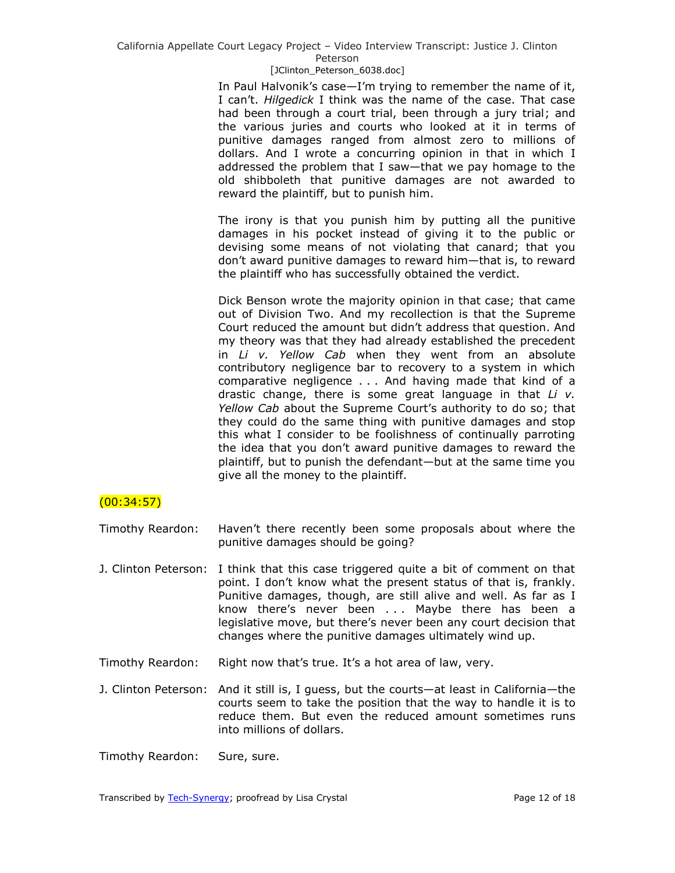In Paul Halvonik's case—I'm trying to remember the name of it, I can't. *Hilgedick* I think was the name of the case. That case had been through a court trial, been through a jury trial; and the various juries and courts who looked at it in terms of punitive damages ranged from almost zero to millions of dollars. And I wrote a concurring opinion in that in which I addressed the problem that I saw—that we pay homage to the old shibboleth that punitive damages are not awarded to reward the plaintiff, but to punish him.

The irony is that you punish him by putting all the punitive damages in his pocket instead of giving it to the public or devising some means of not violating that canard; that you don't award punitive damages to reward him—that is, to reward the plaintiff who has successfully obtained the verdict.

Dick Benson wrote the majority opinion in that case; that came out of Division Two. And my recollection is that the Supreme Court reduced the amount but didn't address that question. And my theory was that they had already established the precedent in *Li v. Yellow Cab* when they went from an absolute contributory negligence bar to recovery to a system in which comparative negligence . . . And having made that kind of a drastic change, there is some great language in that *Li v. Yellow Cab* about the Supreme Court's authority to do so; that they could do the same thing with punitive damages and stop this what I consider to be foolishness of continually parroting the idea that you don't award punitive damages to reward the plaintiff, but to punish the defendant—but at the same time you give all the money to the plaintiff.

## (00:34:57)

Timothy Reardon: Haven't there recently been some proposals about where the punitive damages should be going?

- J. Clinton Peterson: I think that this case triggered quite a bit of comment on that point. I don't know what the present status of that is, frankly. Punitive damages, though, are still alive and well. As far as I know there's never been . . . Maybe there has been a legislative move, but there's never been any court decision that changes where the punitive damages ultimately wind up.
- Timothy Reardon: Right now that's true. It's a hot area of law, very.
- J. Clinton Peterson: And it still is, I guess, but the courts—at least in California—the courts seem to take the position that the way to handle it is to reduce them. But even the reduced amount sometimes runs into millions of dollars.

Timothy Reardon: Sure, sure.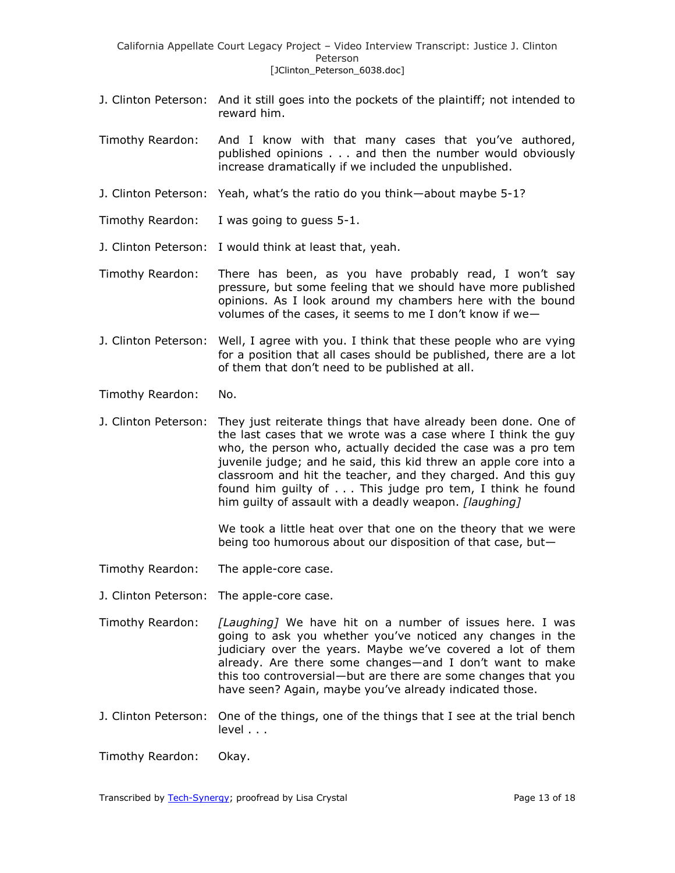- J. Clinton Peterson: And it still goes into the pockets of the plaintiff; not intended to reward him.
- Timothy Reardon: And I know with that many cases that you've authored, published opinions . . . and then the number would obviously increase dramatically if we included the unpublished.
- J. Clinton Peterson: Yeah, what's the ratio do you think—about maybe 5-1?
- Timothy Reardon: I was going to guess 5-1.
- J. Clinton Peterson: I would think at least that, yeah.
- Timothy Reardon: There has been, as you have probably read, I won't say pressure, but some feeling that we should have more published opinions. As I look around my chambers here with the bound volumes of the cases, it seems to me I don't know if we—
- J. Clinton Peterson: Well, I agree with you. I think that these people who are vying for a position that all cases should be published, there are a lot of them that don't need to be published at all.
- Timothy Reardon: No.
- J. Clinton Peterson: They just reiterate things that have already been done. One of the last cases that we wrote was a case where I think the guy who, the person who, actually decided the case was a pro tem juvenile judge; and he said, this kid threw an apple core into a classroom and hit the teacher, and they charged. And this guy found him guilty of . . . This judge pro tem, I think he found him guilty of assault with a deadly weapon. *[laughing]*

We took a little heat over that one on the theory that we were being too humorous about our disposition of that case, but—

- Timothy Reardon: The apple-core case.
- J. Clinton Peterson: The apple-core case.
- Timothy Reardon: *[Laughing]* We have hit on a number of issues here. I was going to ask you whether you've noticed any changes in the judiciary over the years. Maybe we've covered a lot of them already. Are there some changes—and I don't want to make this too controversial—but are there are some changes that you have seen? Again, maybe you've already indicated those.
- J. Clinton Peterson: One of the things, one of the things that I see at the trial bench level . . .

Timothy Reardon: Okay.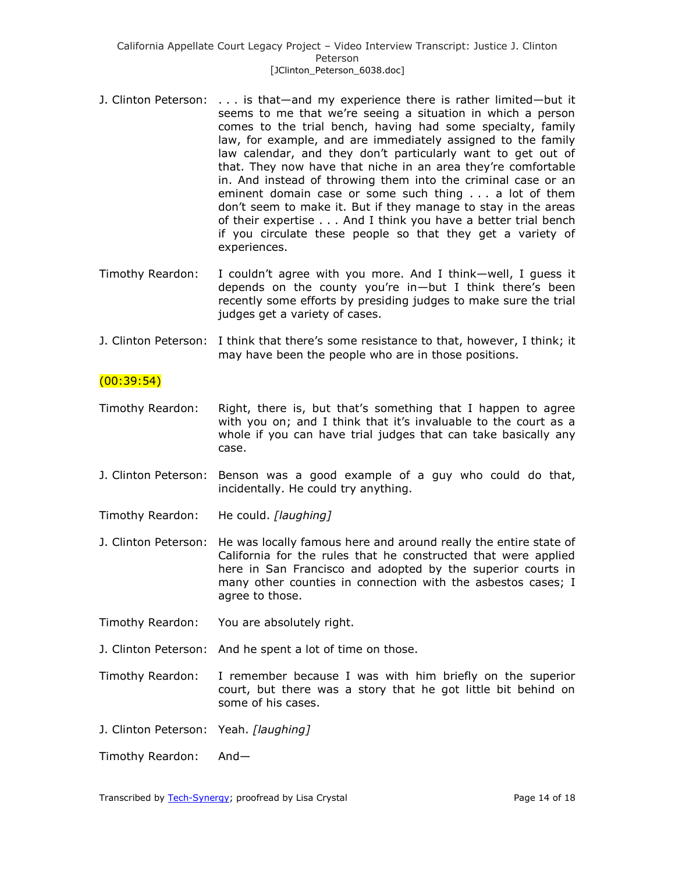- J. Clinton Peterson: . . . is that—and my experience there is rather limited—but it seems to me that we're seeing a situation in which a person comes to the trial bench, having had some specialty, family law, for example, and are immediately assigned to the family law calendar, and they don't particularly want to get out of that. They now have that niche in an area they're comfortable in. And instead of throwing them into the criminal case or an eminent domain case or some such thing . . . a lot of them don't seem to make it. But if they manage to stay in the areas of their expertise . . . And I think you have a better trial bench if you circulate these people so that they get a variety of experiences.
- Timothy Reardon: I couldn't agree with you more. And I think—well, I guess it depends on the county you're in—but I think there's been recently some efforts by presiding judges to make sure the trial judges get a variety of cases.
- J. Clinton Peterson: I think that there's some resistance to that, however, I think; it may have been the people who are in those positions.

## $(00:39:54)$

- Timothy Reardon: Right, there is, but that's something that I happen to agree with you on; and I think that it's invaluable to the court as a whole if you can have trial judges that can take basically any case.
- J. Clinton Peterson: Benson was a good example of a guy who could do that, incidentally. He could try anything.
- Timothy Reardon: He could. *[laughing]*
- J. Clinton Peterson: He was locally famous here and around really the entire state of California for the rules that he constructed that were applied here in San Francisco and adopted by the superior courts in many other counties in connection with the asbestos cases; I agree to those.
- Timothy Reardon: You are absolutely right.
- J. Clinton Peterson: And he spent a lot of time on those.
- Timothy Reardon: I remember because I was with him briefly on the superior court, but there was a story that he got little bit behind on some of his cases.
- J. Clinton Peterson: Yeah. *[laughing]*
- Timothy Reardon: And—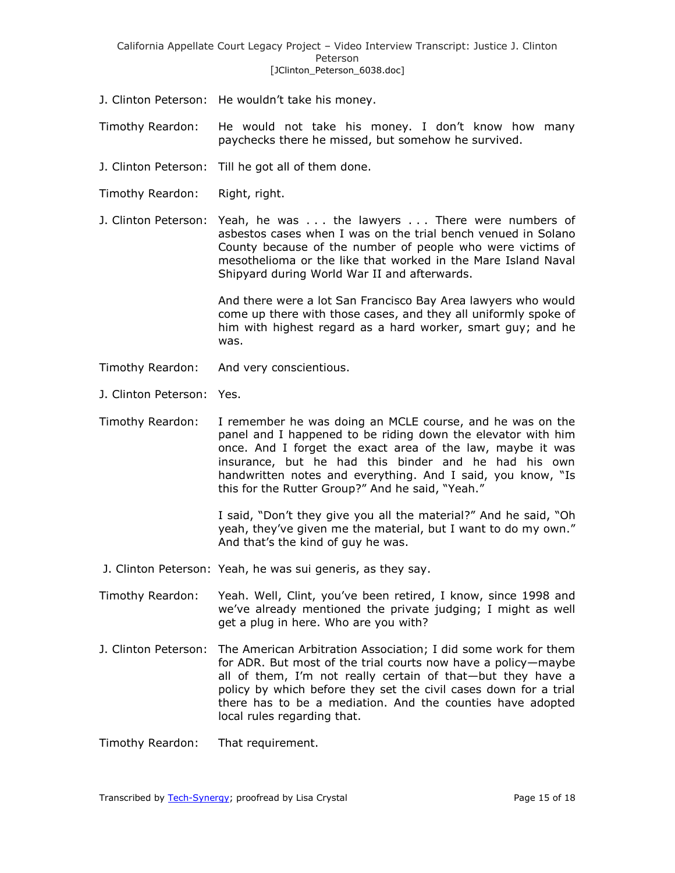- J. Clinton Peterson: He wouldn't take his money.
- Timothy Reardon: He would not take his money. I don't know how many paychecks there he missed, but somehow he survived.
- J. Clinton Peterson: Till he got all of them done.
- Timothy Reardon: Right, right.
- J. Clinton Peterson: Yeah, he was . . . the lawyers . . . There were numbers of asbestos cases when I was on the trial bench venued in Solano County because of the number of people who were victims of mesothelioma or the like that worked in the Mare Island Naval Shipyard during World War II and afterwards.

And there were a lot San Francisco Bay Area lawyers who would come up there with those cases, and they all uniformly spoke of him with highest regard as a hard worker, smart guy; and he was.

- Timothy Reardon: And very conscientious.
- J. Clinton Peterson: Yes.

Timothy Reardon: I remember he was doing an MCLE course, and he was on the panel and I happened to be riding down the elevator with him once. And I forget the exact area of the law, maybe it was insurance, but he had this binder and he had his own handwritten notes and everything. And I said, you know, "Is this for the Rutter Group?" And he said, "Yeah."

> I said, "Don't they give you all the material?" And he said, "Oh yeah, they've given me the material, but I want to do my own." And that's the kind of guy he was.

- J. Clinton Peterson: Yeah, he was sui generis, as they say.
- Timothy Reardon: Yeah. Well, Clint, you've been retired, I know, since 1998 and we've already mentioned the private judging; I might as well get a plug in here. Who are you with?
- J. Clinton Peterson: The American Arbitration Association; I did some work for them for ADR. But most of the trial courts now have a policy—maybe all of them, I'm not really certain of that—but they have a policy by which before they set the civil cases down for a trial there has to be a mediation. And the counties have adopted local rules regarding that.

Timothy Reardon: That requirement.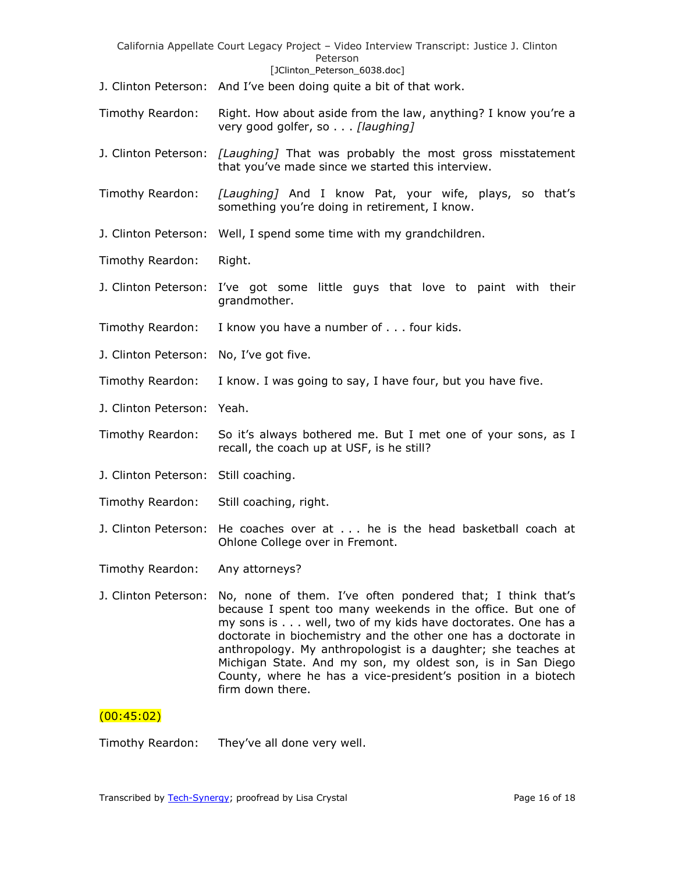| California Appellate Court Legacy Project - Video Interview Transcript: Justice J. Clinton<br>Peterson<br>[JClinton_Peterson_6038.doc] |                                                                                                                                                                                                                                                                                                                                                                                                                                                                               |  |
|----------------------------------------------------------------------------------------------------------------------------------------|-------------------------------------------------------------------------------------------------------------------------------------------------------------------------------------------------------------------------------------------------------------------------------------------------------------------------------------------------------------------------------------------------------------------------------------------------------------------------------|--|
|                                                                                                                                        | J. Clinton Peterson: And I've been doing quite a bit of that work.                                                                                                                                                                                                                                                                                                                                                                                                            |  |
| Timothy Reardon:                                                                                                                       | Right. How about aside from the law, anything? I know you're a<br>very good golfer, so [laughing]                                                                                                                                                                                                                                                                                                                                                                             |  |
|                                                                                                                                        | J. Clinton Peterson: [Laughing] That was probably the most gross misstatement<br>that you've made since we started this interview.                                                                                                                                                                                                                                                                                                                                            |  |
| Timothy Reardon:                                                                                                                       | [Laughing] And I know Pat, your wife, plays, so that's<br>something you're doing in retirement, I know.                                                                                                                                                                                                                                                                                                                                                                       |  |
|                                                                                                                                        | J. Clinton Peterson: Well, I spend some time with my grandchildren.                                                                                                                                                                                                                                                                                                                                                                                                           |  |
| Timothy Reardon:                                                                                                                       | Right.                                                                                                                                                                                                                                                                                                                                                                                                                                                                        |  |
|                                                                                                                                        | J. Clinton Peterson: I've got some little guys that love to paint with their<br>grandmother.                                                                                                                                                                                                                                                                                                                                                                                  |  |
| Timothy Reardon:                                                                                                                       | I know you have a number of four kids.                                                                                                                                                                                                                                                                                                                                                                                                                                        |  |
| J. Clinton Peterson:                                                                                                                   | No, I've got five.                                                                                                                                                                                                                                                                                                                                                                                                                                                            |  |
| Timothy Reardon:                                                                                                                       | I know. I was going to say, I have four, but you have five.                                                                                                                                                                                                                                                                                                                                                                                                                   |  |
| J. Clinton Peterson:                                                                                                                   | Yeah.                                                                                                                                                                                                                                                                                                                                                                                                                                                                         |  |
| Timothy Reardon:                                                                                                                       | So it's always bothered me. But I met one of your sons, as I<br>recall, the coach up at USF, is he still?                                                                                                                                                                                                                                                                                                                                                                     |  |
| J. Clinton Peterson: Still coaching.                                                                                                   |                                                                                                                                                                                                                                                                                                                                                                                                                                                                               |  |
| Timothy Reardon:                                                                                                                       | Still coaching, right.                                                                                                                                                                                                                                                                                                                                                                                                                                                        |  |
| J. Clinton Peterson:                                                                                                                   | He coaches over at he is the head basketball coach at<br>Ohlone College over in Fremont.                                                                                                                                                                                                                                                                                                                                                                                      |  |
| Timothy Reardon:                                                                                                                       | Any attorneys?                                                                                                                                                                                                                                                                                                                                                                                                                                                                |  |
| J. Clinton Peterson:                                                                                                                   | No, none of them. I've often pondered that; I think that's<br>because I spent too many weekends in the office. But one of<br>my sons is well, two of my kids have doctorates. One has a<br>doctorate in biochemistry and the other one has a doctorate in<br>anthropology. My anthropologist is a daughter; she teaches at<br>Michigan State. And my son, my oldest son, is in San Diego<br>County, where he has a vice-president's position in a biotech<br>firm down there. |  |

# $(00:45:02)$

Timothy Reardon: They've all done very well.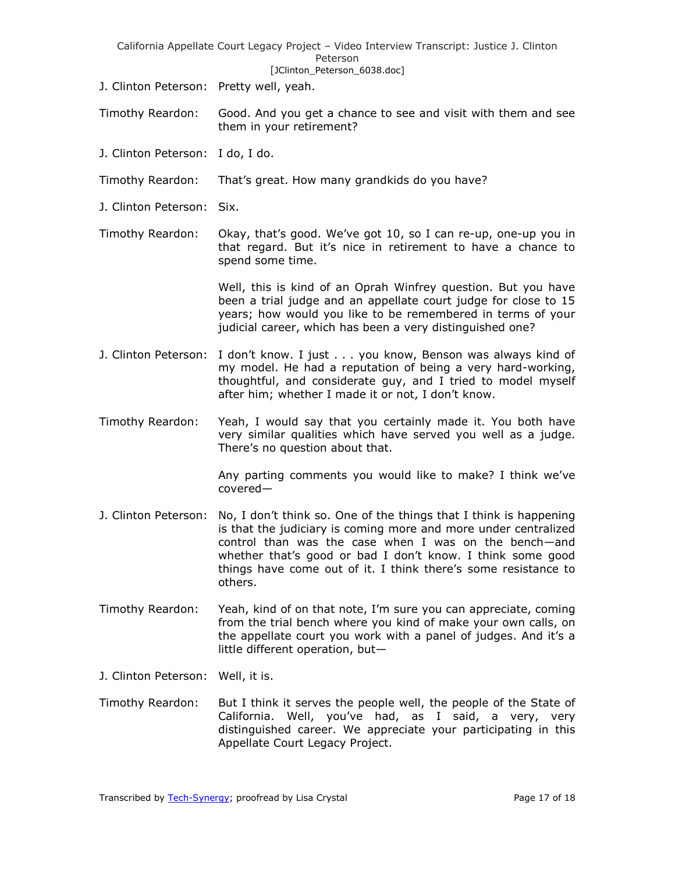|                                         | California Appellate Court Legacy Project - Video Interview Transcript: Justice J. Clinton<br>Peterson<br>[JClinton_Peterson_6038.doc]                                                                                                                                                                                                   |
|-----------------------------------------|------------------------------------------------------------------------------------------------------------------------------------------------------------------------------------------------------------------------------------------------------------------------------------------------------------------------------------------|
| J. Clinton Peterson: Pretty well, yeah. |                                                                                                                                                                                                                                                                                                                                          |
| Timothy Reardon:                        | Good. And you get a chance to see and visit with them and see<br>them in your retirement?                                                                                                                                                                                                                                                |
| J. Clinton Peterson:                    | I do, I do.                                                                                                                                                                                                                                                                                                                              |
| Timothy Reardon:                        | That's great. How many grandkids do you have?                                                                                                                                                                                                                                                                                            |
| J. Clinton Peterson:                    | Six.                                                                                                                                                                                                                                                                                                                                     |
| Timothy Reardon:                        | Okay, that's good. We've got 10, so I can re-up, one-up you in<br>that regard. But it's nice in retirement to have a chance to<br>spend some time.                                                                                                                                                                                       |
|                                         | Well, this is kind of an Oprah Winfrey question. But you have<br>been a trial judge and an appellate court judge for close to 15<br>years; how would you like to be remembered in terms of your<br>judicial career, which has been a very distinguished one?                                                                             |
| J. Clinton Peterson:                    | I don't know. I just you know, Benson was always kind of<br>my model. He had a reputation of being a very hard-working,<br>thoughtful, and considerate guy, and I tried to model myself<br>after him; whether I made it or not, I don't know.                                                                                            |
| Timothy Reardon:                        | Yeah, I would say that you certainly made it. You both have<br>very similar qualities which have served you well as a judge.<br>There's no question about that.                                                                                                                                                                          |
|                                         | Any parting comments you would like to make? I think we've<br>$covered-$                                                                                                                                                                                                                                                                 |
| J. Clinton Peterson:                    | No, I don't think so. One of the things that I think is happening<br>is that the judiciary is coming more and more under centralized<br>control than was the case when I was on the bench-and<br>whether that's good or bad I don't know. I think some good<br>things have come out of it. I think there's some resistance to<br>others. |
| Timothy Reardon:                        | Yeah, kind of on that note, I'm sure you can appreciate, coming<br>from the trial bench where you kind of make your own calls, on<br>the appellate court you work with a panel of judges. And it's a<br>little different operation, but-                                                                                                 |
| J. Clinton Peterson:                    | Well, it is.                                                                                                                                                                                                                                                                                                                             |
| Timothy Reardon:                        | But I think it serves the people well, the people of the State of<br>Well, you've had, as I said, a very,<br>California.<br>very<br>distinguished career. We appreciate your participating in this<br>Appellate Court Legacy Project.                                                                                                    |